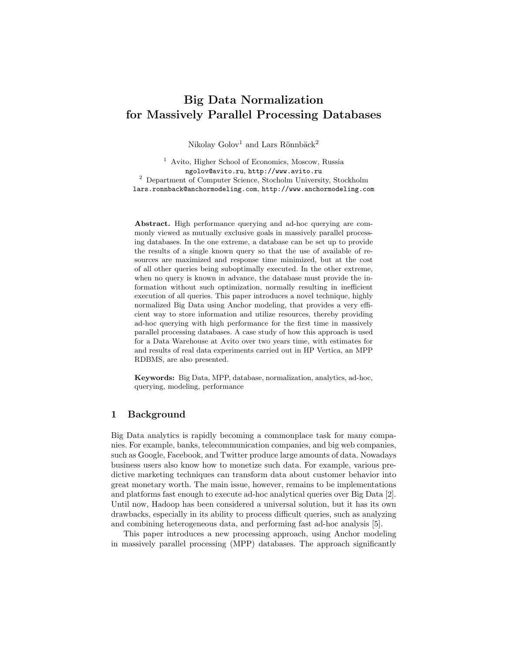# Big Data Normalization for Massively Parallel Processing Databases

Nikolay  $Golov<sup>1</sup>$  and Lars Rönnbäck<sup>2</sup>

<sup>1</sup> Avito, Higher School of Economics, Moscow, Russia ngolov@avito.ru, http://www.avito.ru <sup>2</sup> Department of Computer Science, Stocholm University, Stockholm lars.ronnback@anchormodeling.com, http://www.anchormodeling.com

Abstract. High performance querying and ad-hoc querying are commonly viewed as mutually exclusive goals in massively parallel processing databases. In the one extreme, a database can be set up to provide the results of a single known query so that the use of available of resources are maximized and response time minimized, but at the cost of all other queries being suboptimally executed. In the other extreme, when no query is known in advance, the database must provide the information without such optimization, normally resulting in inefficient execution of all queries. This paper introduces a novel technique, highly normalized Big Data using Anchor modeling, that provides a very efficient way to store information and utilize resources, thereby providing ad-hoc querying with high performance for the first time in massively parallel processing databases. A case study of how this approach is used for a Data Warehouse at Avito over two years time, with estimates for and results of real data experiments carried out in HP Vertica, an MPP RDBMS, are also presented.

Keywords: Big Data, MPP, database, normalization, analytics, ad-hoc, querying, modeling, performance

# 1 Background

Big Data analytics is rapidly becoming a commonplace task for many companies. For example, banks, telecommunication companies, and big web companies, such as Google, Facebook, and Twitter produce large amounts of data. Nowadays business users also know how to monetize such data. For example, various predictive marketing techniques can transform data about customer behavior into great monetary worth. The main issue, however, remains to be implementations and platforms fast enough to execute ad-hoc analytical queries over Big Data [2]. Until now, Hadoop has been considered a universal solution, but it has its own drawbacks, especially in its ability to process difficult queries, such as analyzing and combining heterogeneous data, and performing fast ad-hoc analysis [5].

This paper introduces a new processing approach, using Anchor modeling in massively parallel processing (MPP) databases. The approach significantly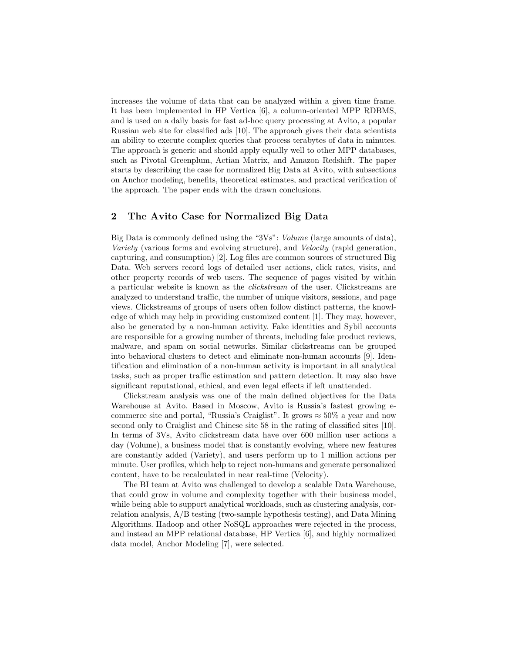increases the volume of data that can be analyzed within a given time frame. It has been implemented in HP Vertica [6], a column-oriented MPP RDBMS, and is used on a daily basis for fast ad-hoc query processing at Avito, a popular Russian web site for classified ads [10]. The approach gives their data scientists an ability to execute complex queries that process terabytes of data in minutes. The approach is generic and should apply equally well to other MPP databases, such as Pivotal Greenplum, Actian Matrix, and Amazon Redshift. The paper starts by describing the case for normalized Big Data at Avito, with subsections on Anchor modeling, benefits, theoretical estimates, and practical verification of the approach. The paper ends with the drawn conclusions.

# 2 The Avito Case for Normalized Big Data

Big Data is commonly defined using the "3Vs": Volume (large amounts of data), Variety (various forms and evolving structure), and Velocity (rapid generation, capturing, and consumption) [2]. Log files are common sources of structured Big Data. Web servers record logs of detailed user actions, click rates, visits, and other property records of web users. The sequence of pages visited by within a particular website is known as the clickstream of the user. Clickstreams are analyzed to understand traffic, the number of unique visitors, sessions, and page views. Clickstreams of groups of users often follow distinct patterns, the knowledge of which may help in providing customized content [1]. They may, however, also be generated by a non-human activity. Fake identities and Sybil accounts are responsible for a growing number of threats, including fake product reviews, malware, and spam on social networks. Similar clickstreams can be grouped into behavioral clusters to detect and eliminate non-human accounts [9]. Identification and elimination of a non-human activity is important in all analytical tasks, such as proper traffic estimation and pattern detection. It may also have significant reputational, ethical, and even legal effects if left unattended.

Clickstream analysis was one of the main defined objectives for the Data Warehouse at Avito. Based in Moscow, Avito is Russia's fastest growing ecommerce site and portal, "Russia's Craiglist". It grows  $\approx 50\%$  a year and now second only to Craiglist and Chinese site 58 in the rating of classified sites [10]. In terms of 3Vs, Avito clickstream data have over 600 million user actions a day (Volume), a business model that is constantly evolving, where new features are constantly added (Variety), and users perform up to 1 million actions per minute. User profiles, which help to reject non-humans and generate personalized content, have to be recalculated in near real-time (Velocity).

The BI team at Avito was challenged to develop a scalable Data Warehouse, that could grow in volume and complexity together with their business model, while being able to support analytical workloads, such as clustering analysis, correlation analysis, A/B testing (two-sample hypothesis testing), and Data Mining Algorithms. Hadoop and other NoSQL approaches were rejected in the process, and instead an MPP relational database, HP Vertica [6], and highly normalized data model, Anchor Modeling [7], were selected.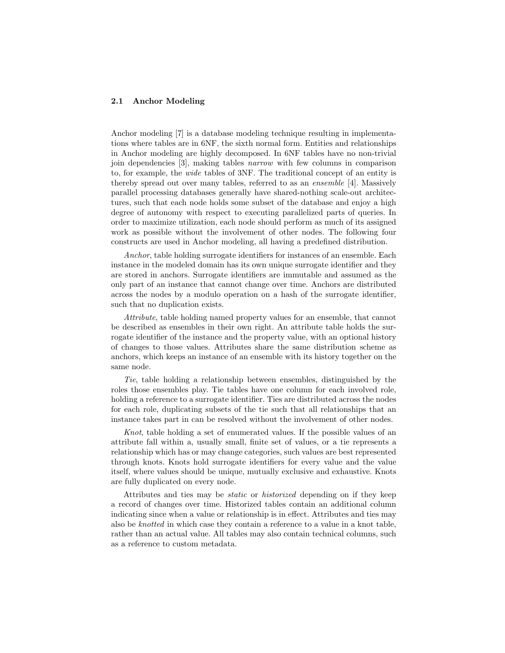## 2.1 Anchor Modeling

Anchor modeling [7] is a database modeling technique resulting in implementations where tables are in 6NF, the sixth normal form. Entities and relationships in Anchor modeling are highly decomposed. In 6NF tables have no non-trivial join dependencies [3], making tables narrow with few columns in comparison to, for example, the wide tables of 3NF. The traditional concept of an entity is thereby spread out over many tables, referred to as an ensemble [4]. Massively parallel processing databases generally have shared-nothing scale-out architectures, such that each node holds some subset of the database and enjoy a high degree of autonomy with respect to executing parallelized parts of queries. In order to maximize utilization, each node should perform as much of its assigned work as possible without the involvement of other nodes. The following four constructs are used in Anchor modeling, all having a predefined distribution.

Anchor, table holding surrogate identifiers for instances of an ensemble. Each instance in the modeled domain has its own unique surrogate identifier and they are stored in anchors. Surrogate identifiers are immutable and assumed as the only part of an instance that cannot change over time. Anchors are distributed across the nodes by a modulo operation on a hash of the surrogate identifier, such that no duplication exists.

Attribute, table holding named property values for an ensemble, that cannot be described as ensembles in their own right. An attribute table holds the surrogate identifier of the instance and the property value, with an optional history of changes to those values. Attributes share the same distribution scheme as anchors, which keeps an instance of an ensemble with its history together on the same node.

Tie, table holding a relationship between ensembles, distinguished by the roles those ensembles play. Tie tables have one column for each involved role, holding a reference to a surrogate identifier. Ties are distributed across the nodes for each role, duplicating subsets of the tie such that all relationships that an instance takes part in can be resolved without the involvement of other nodes.

Knot, table holding a set of enumerated values. If the possible values of an attribute fall within a, usually small, finite set of values, or a tie represents a relationship which has or may change categories, such values are best represented through knots. Knots hold surrogate identifiers for every value and the value itself, where values should be unique, mutually exclusive and exhaustive. Knots are fully duplicated on every node.

Attributes and ties may be static or historized depending on if they keep a record of changes over time. Historized tables contain an additional column indicating since when a value or relationship is in effect. Attributes and ties may also be knotted in which case they contain a reference to a value in a knot table, rather than an actual value. All tables may also contain technical columns, such as a reference to custom metadata.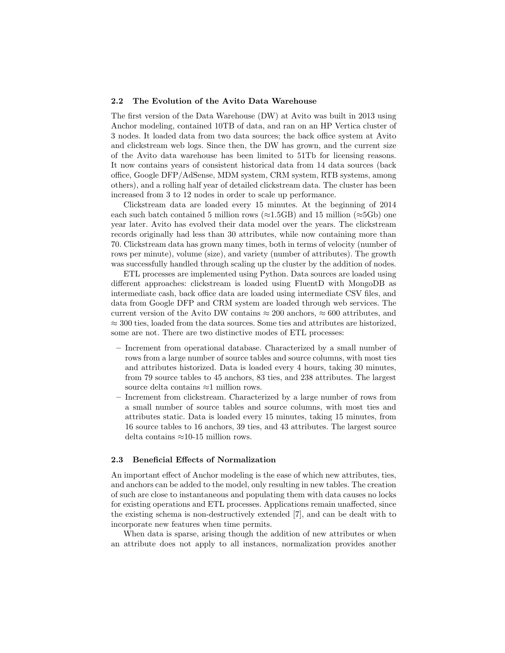#### 2.2 The Evolution of the Avito Data Warehouse

The first version of the Data Warehouse (DW) at Avito was built in 2013 using Anchor modeling, contained 10TB of data, and ran on an HP Vertica cluster of 3 nodes. It loaded data from two data sources; the back office system at Avito and clickstream web logs. Since then, the DW has grown, and the current size of the Avito data warehouse has been limited to 51Tb for licensing reasons. It now contains years of consistent historical data from 14 data sources (back office, Google DFP/AdSense, MDM system, CRM system, RTB systems, among others), and a rolling half year of detailed clickstream data. The cluster has been increased from 3 to 12 nodes in order to scale up performance.

Clickstream data are loaded every 15 minutes. At the beginning of 2014 each such batch contained 5 million rows ( $\approx$ 1.5GB) and 15 million ( $\approx$ 5Gb) one year later. Avito has evolved their data model over the years. The clickstream records originally had less than 30 attributes, while now containing more than 70. Clickstream data has grown many times, both in terms of velocity (number of rows per minute), volume (size), and variety (number of attributes). The growth was successfully handled through scaling up the cluster by the addition of nodes.

ETL processes are implemented using Python. Data sources are loaded using different approaches: clickstream is loaded using FluentD with MongoDB as intermediate cash, back office data are loaded using intermediate CSV files, and data from Google DFP and CRM system are loaded through web services. The current version of the Avito DW contains  $\approx 200$  anchors,  $\approx 600$  attributes, and  $\approx$  300 ties, loaded from the data sources. Some ties and attributes are historized, some are not. There are two distinctive modes of ETL processes:

- Increment from operational database. Characterized by a small number of rows from a large number of source tables and source columns, with most ties and attributes historized. Data is loaded every 4 hours, taking 30 minutes, from 79 source tables to 45 anchors, 83 ties, and 238 attributes. The largest source delta contains ≈1 million rows.
- Increment from clickstream. Characterized by a large number of rows from a small number of source tables and source columns, with most ties and attributes static. Data is loaded every 15 minutes, taking 15 minutes, from 16 source tables to 16 anchors, 39 ties, and 43 attributes. The largest source delta contains  $\approx$ 10-15 million rows.

#### 2.3 Beneficial Effects of Normalization

An important effect of Anchor modeling is the ease of which new attributes, ties, and anchors can be added to the model, only resulting in new tables. The creation of such are close to instantaneous and populating them with data causes no locks for existing operations and ETL processes. Applications remain unaffected, since the existing schema is non-destructively extended [7], and can be dealt with to incorporate new features when time permits.

When data is sparse, arising though the addition of new attributes or when an attribute does not apply to all instances, normalization provides another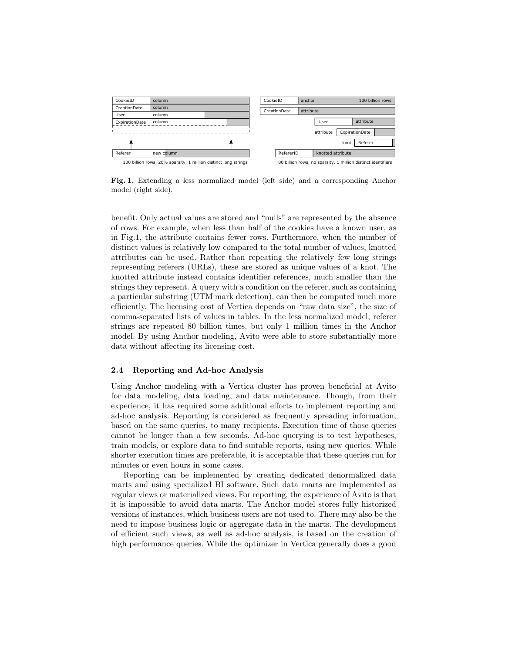

Fig. 1. Extending a less normalized model (left side) and a corresponding Anchor model (right side).

benefit. Only actual values are stored and "nulls" are represented by the absence of rows. For example, when less than half of the cookies have a known user, as in Fig.1, the attribute contains fewer rows. Furthermore, when the number of distinct values is relatively low compared to the total number of values, knotted attributes can be used. Rather than repeating the relatively few long strings representing referers (URLs), these are stored as unique values of a knot. The knotted attribute instead contains identifier references, much smaller than the strings they represent. A query with a condition on the referer, such as containing a particular substring (UTM mark detection), can then be computed much more efficiently. The licensing cost of Vertica depends on "raw data size", the size of comma-separated lists of values in tables. In the less normalized model, referer strings are repeated 80 billion times, but only 1 million times in the Anchor model. By using Anchor modeling, Avito were able to store substantially more data without affecting its licensing cost.

## 2.4 Reporting and Ad-hoc Analysis

Using Anchor modeling with a Vertica cluster has proven beneficial at Avito for data modeling, data loading, and data maintenance. Though, from their experience, it has required some additional efforts to implement reporting and ad-hoc analysis. Reporting is considered as frequently spreading information, based on the same queries, to many recipients. Execution time of those queries cannot be longer than a few seconds. Ad-hoc querying is to test hypotheses, train models, or explore data to find suitable reports, using new queries. While shorter execution times are preferable, it is acceptable that these queries run for minutes or even hours in some cases.

Reporting can be implemented by creating dedicated denormalized data marts and using specialized BI software. Such data marts are implemented as regular views or materialized views. For reporting, the experience of Avito is that it is impossible to avoid data marts. The Anchor model stores fully historized versions of instances, which business users are not used to. There may also be the need to impose business logic or aggregate data in the marts. The development of efficient such views, as well as ad-hoc analysis, is based on the creation of high performance queries. While the optimizer in Vertica generally does a good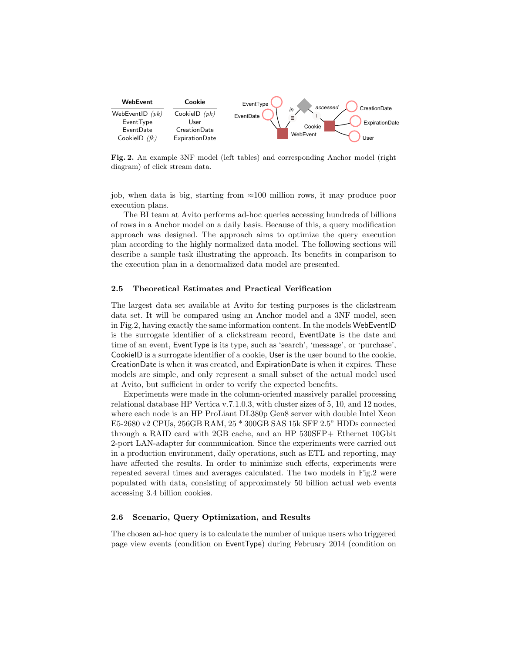

Fig. 2. An example 3NF model (left tables) and corresponding Anchor model (right diagram) of click stream data.

job, when data is big, starting from ≈100 million rows, it may produce poor execution plans.

The BI team at Avito performs ad-hoc queries accessing hundreds of billions of rows in a Anchor model on a daily basis. Because of this, a query modification approach was designed. The approach aims to optimize the query execution plan according to the highly normalized data model. The following sections will describe a sample task illustrating the approach. Its benefits in comparison to the execution plan in a denormalized data model are presented.

## 2.5 Theoretical Estimates and Practical Verification

The largest data set available at Avito for testing purposes is the clickstream data set. It will be compared using an Anchor model and a 3NF model, seen in Fig.2, having exactly the same information content. In the models WebEventID is the surrogate identifier of a clickstream record, EventDate is the date and time of an event, EventType is its type, such as 'search', 'message', or 'purchase', CookieID is a surrogate identifier of a cookie, User is the user bound to the cookie, CreationDate is when it was created, and ExpirationDate is when it expires. These models are simple, and only represent a small subset of the actual model used at Avito, but sufficient in order to verify the expected benefits.

Experiments were made in the column-oriented massively parallel processing relational database HP Vertica v.7.1.0.3, with cluster sizes of 5, 10, and 12 nodes, where each node is an HP ProLiant DL380p Gen8 server with double Intel Xeon E5-2680 v2 CPUs, 256GB RAM, 25 \* 300GB SAS 15k SFF 2.5" HDDs connected through a RAID card with 2GB cache, and an HP 530SFP+ Ethernet 10Gbit 2-port LAN-adapter for communication. Since the experiments were carried out in a production environment, daily operations, such as ETL and reporting, may have affected the results. In order to minimize such effects, experiments were repeated several times and averages calculated. The two models in Fig.2 were populated with data, consisting of approximately 50 billion actual web events accessing 3.4 billion cookies.

## 2.6 Scenario, Query Optimization, and Results

The chosen ad-hoc query is to calculate the number of unique users who triggered page view events (condition on EventType) during February 2014 (condition on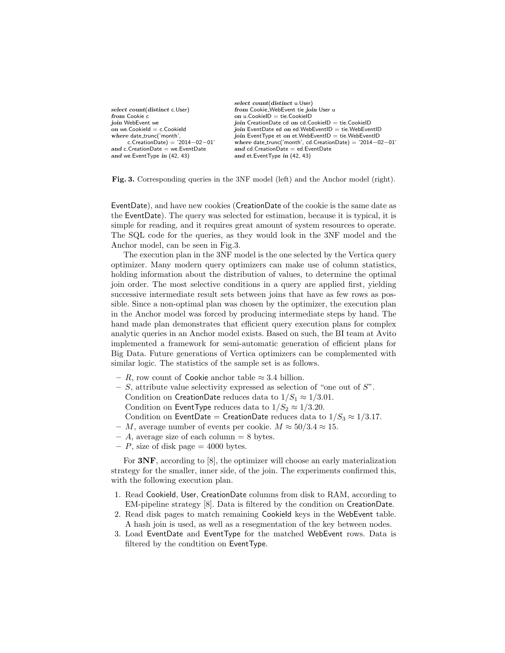|                                            | select count(distinct u.User)                               |  |  |
|--------------------------------------------|-------------------------------------------------------------|--|--|
| select count(distinct c.User)              | from Cookie_WebEvent tie join User u                        |  |  |
| from Cookie c                              | on u.Cookiel $D =$ tie.CookielD                             |  |  |
| join WebEvent we                           | join CreationDate cd on cd.CookielD = tie.CookielD          |  |  |
| on we. Cookield $=$ c. Cookield            | join EventDate ed on ed. WebEventID = tie. WebEventID       |  |  |
| where date_trunc('month',                  | join EventType et on et. WebEventID = tie. WebEventID       |  |  |
| c. Creation Date) = $'2014 - 02 - 01'$     | where date_trunc('month', cd.CreationDate) = $2014-02-01$ ' |  |  |
| and $c$ . Creation Date $=$ we. Event Date | and cd. Creation Date $=$ ed. Event Date                    |  |  |
| and we.EventType <i>in</i> (42, 43)        | and et. Event Type in $(42, 43)$                            |  |  |
|                                            |                                                             |  |  |

Fig. 3. Corresponding queries in the 3NF model (left) and the Anchor model (right).

EventDate), and have new cookies (CreationDate of the cookie is the same date as the EventDate). The query was selected for estimation, because it is typical, it is simple for reading, and it requires great amount of system resources to operate. The SQL code for the queries, as they would look in the 3NF model and the Anchor model, can be seen in Fig.3.

The execution plan in the 3NF model is the one selected by the Vertica query optimizer. Many modern query optimizers can make use of column statistics, holding information about the distribution of values, to determine the optimal join order. The most selective conditions in a query are applied first, yielding successive intermediate result sets between joins that have as few rows as possible. Since a non-optimal plan was chosen by the optimizer, the execution plan in the Anchor model was forced by producing intermediate steps by hand. The hand made plan demonstrates that efficient query execution plans for complex analytic queries in an Anchor model exists. Based on such, the BI team at Avito implemented a framework for semi-automatic generation of efficient plans for Big Data. Future generations of Vertica optimizers can be complemented with similar logic. The statistics of the sample set is as follows.

- R, row count of Cookie anchor table  $\approx 3.4$  billion.
- $S$ , attribute value selectivity expressed as selection of "one out of  $S$ ". Condition on CreationDate reduces data to  $1/S_1 \approx 1/3.01$ . Condition on EventType reduces data to  $1/S_2 \approx 1/3.20$ . Condition on EventDate = CreationDate reduces data to  $1/S_3 \approx 1/3.17$ .
- M, average number of events per cookie.  $M \approx 50/3.4 \approx 15$ .
- $A$ , average size of each column  $= 8$  bytes.
- P, size of disk page  $= 4000$  bytes.

For 3NF, according to [8], the optimizer will choose an early materialization strategy for the smaller, inner side, of the join. The experiments confirmed this, with the following execution plan.

- 1. Read Cookield, User, CreationDate columns from disk to RAM, according to EM-pipeline strategy [8]. Data is filtered by the condition on CreationDate.
- 2. Read disk pages to match remaining CookieId keys in the WebEvent table. A hash join is used, as well as a resegmentation of the key between nodes.
- 3. Load EventDate and EventType for the matched WebEvent rows. Data is filtered by the condtition on EventType.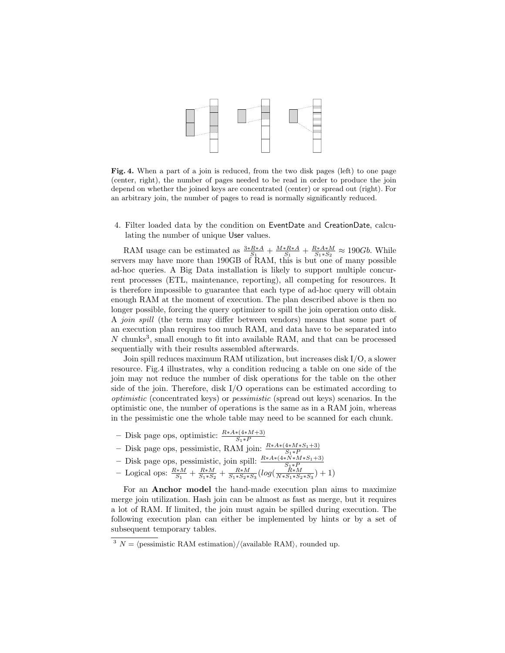

Fig. 4. When a part of a join is reduced, from the two disk pages (left) to one page (center, right), the number of pages needed to be read in order to produce the join depend on whether the joined keys are concentrated (center) or spread out (right). For an arbitrary join, the number of pages to read is normally significantly reduced.

4. Filter loaded data by the condition on EventDate and CreationDate, calculating the number of unique User values.

RAM usage can be estimated as  $\frac{3*R*A}{S_1} + \frac{M*B*A}{S_1} + \frac{R*A*M}{S_1*S_2} \approx 190Gb$ . While servers may have more than 190GB of RAM, this is but one of many possible ad-hoc queries. A Big Data installation is likely to support multiple concurrent processes (ETL, maintenance, reporting), all competing for resources. It is therefore impossible to guarantee that each type of ad-hoc query will obtain enough RAM at the moment of execution. The plan described above is then no longer possible, forcing the query optimizer to spill the join operation onto disk. A join spill (the term may differ between vendors) means that some part of an execution plan requires too much RAM, and data have to be separated into  $N$  chunks<sup>3</sup>, small enough to fit into available RAM, and that can be processed sequentially with their results assembled afterwards.

Join spill reduces maximum RAM utilization, but increases disk I/O, a slower resource. Fig.4 illustrates, why a condition reducing a table on one side of the join may not reduce the number of disk operations for the table on the other side of the join. Therefore, disk I/O operations can be estimated according to optimistic (concentrated keys) or pessimistic (spread out keys) scenarios. In the optimistic one, the number of operations is the same as in a RAM join, whereas in the pessimistic one the whole table may need to be scanned for each chunk.

- 
- 
- 
- Disk page ops, optimistic:  $\frac{R*A*(4*M+3)}{S_1*D}$ <br>
Disk page ops, pessimistic, RAM join:  $\frac{R*A*(4*M*S_1+3)}{S_1*D}$ <br>
Disk page ops, pessimistic, join spill:  $\frac{R*A*(4*M*S_1+3)}{S_1*D}$ <br>
Logical ops:  $\frac{R*M}{S_1} + \frac{R*M}{S_1*S_2} +$

For an Anchor model the hand-made execution plan aims to maximize merge join utilization. Hash join can be almost as fast as merge, but it requires a lot of RAM. If limited, the join must again be spilled during execution. The following execution plan can either be implemented by hints or by a set of subsequent temporary tables.

<sup>&</sup>lt;sup>3</sup> N =  $\langle$  pessimistic RAM estimation $\rangle$ / $\langle$ available RAM $\rangle$ , rounded up.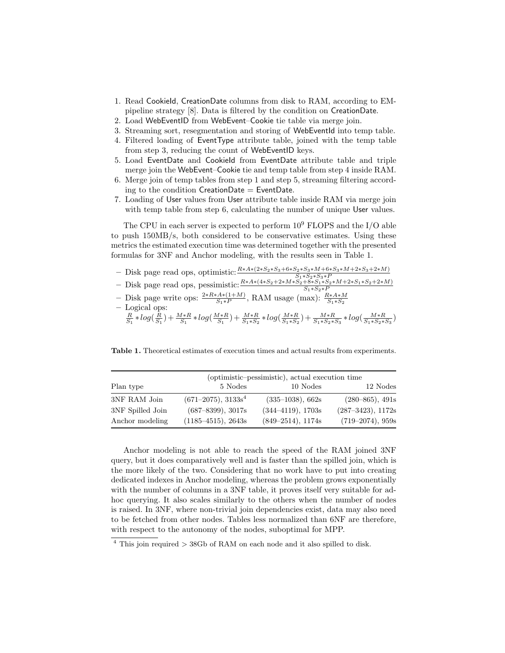- 1. Read CookieId, CreationDate columns from disk to RAM, according to EMpipeline strategy [8]. Data is filtered by the condition on CreationDate.
- 2. Load WebEventID from WebEvent–Cookie tie table via merge join.
- 3. Streaming sort, resegmentation and storing of WebEventId into temp table.
- 4. Filtered loading of EventType attribute table, joined with the temp table from step 3, reducing the count of WebEventID keys.
- 5. Load EventDate and CookieId from EventDate attribute table and triple merge join the WebEvent–Cookie tie and temp table from step 4 inside RAM.
- 6. Merge join of temp tables from step 1 and step 5, streaming filtering according to the condition CreationDate  $=$  EventDate.
- 7. Loading of User values from User attribute table inside RAM via merge join with temp table from step 6, calculating the number of unique User values.

The CPU in each server is expected to perform  $10^9$  FLOPS and the I/O able to push 150MB/s, both considered to be conservative estimates. Using these metrics the estimated execution time was determined together with the presented formulas for 3NF and Anchor modeling, with the results seen in Table 1.

- 
- 
- Disk page read ops, optimistic:  $\frac{R*A*(2*S_2*S_3+6*S_2*S_3*M+6*S_3*M+2*S_3+2*M)}{S_1*S_2*S_3*B}$ <br>- Disk page read ops, pessimistic:  $\frac{R*A*(4*S_2+2*M*S_2+8*S_1*S_2*M+2*S_1*S_2+2*M)}{S_1*S_2*B}$ <br>- Disk page write ops:  $\frac{2*A*A*(1+M)}{S_1*B}$ , RAM usa – Logical ops:
	- $\frac{R}{S_1}*log(\frac{R}{S_1})+\frac{M*R}{S_1}*log(\frac{M*R}{S_1})+\frac{M*R}{S_1*S_2}*log(\frac{M*R}{S_1*S_2})+\frac{M*R}{S_1*S_2*S_3}*log(\frac{M*R}{S_1*S_2*S_3})$

Table 1. Theoretical estimates of execution times and actual results from experiments.

|                  | (optimistic-pessimistic), actual execution time |                       |                     |  |
|------------------|-------------------------------------------------|-----------------------|---------------------|--|
| Plan type        | 5 Nodes                                         | 10 Nodes              | 12 Nodes            |  |
| 3NF RAM Join     | $(671-2075), 3133s4$                            | $(335-1038), 662s$    | $(280 - 865), 491s$ |  |
| 3NF Spilled Join | $(687 - 8399), 3017s$                           | $(344 - 4119), 1703s$ | $(287-3423), 1172s$ |  |
| Anchor modeling  | $(1185-4515), 2643s$                            | $(849 - 2514), 1174s$ | $(719-2074), 959s$  |  |

Anchor modeling is not able to reach the speed of the RAM joined 3NF query, but it does comparatively well and is faster than the spilled join, which is the more likely of the two. Considering that no work have to put into creating dedicated indexes in Anchor modeling, whereas the problem grows exponentially with the number of columns in a 3NF table, it proves itself very suitable for adhoc querying. It also scales similarly to the others when the number of nodes is raised. In 3NF, where non-trivial join dependencies exist, data may also need to be fetched from other nodes. Tables less normalized than 6NF are therefore, with respect to the autonomy of the nodes, suboptimal for MPP.

 $^4$  This join required  $> 38 \mathrm{Gb}$  of RAM on each node and it also spilled to disk.